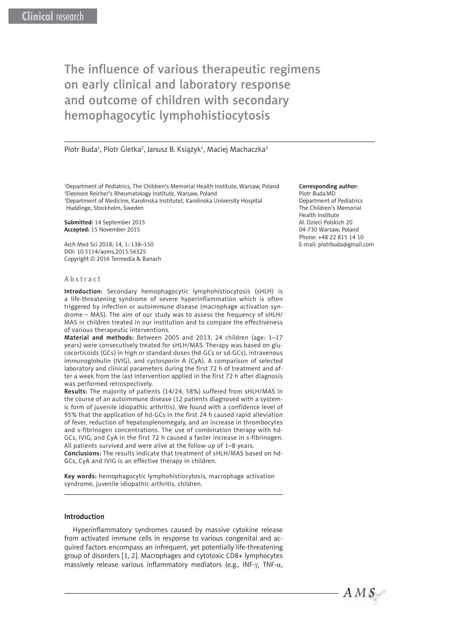Piotr Buda<sup>1</sup>, Piotr Gietka<sup>2</sup>, Janusz B. Książyk<sup>1</sup>, Maciej Machaczka<sup>3</sup>

1 Department of Pediatrics, The Children's Memorial Health Institute, Warsaw, Poland 2 Eleonore Reicher's Rheumatology Institute, Warsaw, Poland 3 Department of Medicine, Karolinska Institutet, Karolinska University Hospital

Huddinge, Stockholm, Sweden

Submitted: 14 September 2015 Accepted: 15 November 2015

Arch Med Sci 2018; 14, 1: 138–150 DOI: 10.5114/aoms.2015.56325 Copyright © 2016 Termedia & Banach

#### Abstract

Introduction: Secondary hemophagocytic lymphohistiocytosis (sHLH) is a life-threatening syndrome of severe hyperinflammation which is often triggered by infection or autoimmune disease (macrophage activation syndrome – MAS). The aim of our study was to assess the frequency of sHLH/ MAS in children treated in our institution and to compare the effectiveness of various therapeutic interventions.

Material and methods: Between 2005 and 2013, 24 children (age: 1–17 years) were consecutively treated for sHLH/MAS. Therapy was based on glucocorticoids (GCs) in high or standard doses (hd-GCs or sd-GCs), intravenous immunoglobulin (IVIG), and cyclosporin A (CyA). A comparison of selected laboratory and clinical parameters during the first 72 h of treatment and after a week from the last intervention applied in the first 72 h after diagnosis was performed retrospectively.

Results: The majority of patients (14/24, 58%) suffered from sHLH/MAS in the course of an autoimmune disease (12 patients diagnosed with a systemic form of juvenile idiopathic arthritis). We found with a confidence level of 95% that the application of hd-GCs in the first 24 h caused rapid alleviation of fever, reduction of hepatosplenomegaly, and an increase in thrombocytes and s-fibrinogen concentrations. The use of combination therapy with hd-GCs, IVIG, and CyA in the first 72 h caused a faster increase in s-fibrinogen. All patients survived and were alive at the follow-up of 1–8 years.

Conclusions: The results indicate that treatment of sHLH/MAS based on hd-GCs, CyA and IVIG is an effective therapy in children.

Key words: hemophagocytic lymphohistiocytosis, macrophage activation syndrome, juvenile idiopathic arthritis, children.

#### Introduction

Hyperinflammatory syndromes caused by massive cytokine release from activated immune cells in response to various congenital and acquired factors encompass an infrequent, yet potentially life-threatening group of disorders [1, 2]. Macrophages and cytotoxic CD8+ lymphocytes massively release various inflammatory mediators (e.g., INF-γ, TNF-α,

#### Corresponding author:

Piotr Buda MD Department of Pediatrics The Children's Memorial Health Institute Al. Dzieci Polskich 20 04-730 Warsaw, Poland Phone: +48 22 815 14 10 E-mail: piotrbuda@gmail.com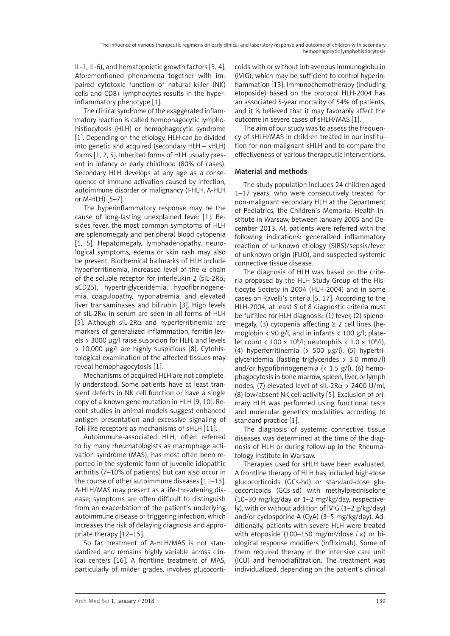IL-1, IL-6), and hematopoietic growth factors [3, 4]. Aforementioned phenomena together with impaired cytotoxic function of natural killer (NK) cells and CD8+ lymphocytes results in the hyperinflammatory phenotype [1].

The clinical syndrome of the exaggerated inflammatory reaction is called hemophagocytic lymphohistiocytosis (HLH) or hemophagocytic syndrome [1]. Depending on the etiology, HLH can be divided into genetic and acquired (secondary HLH – sHLH) forms [1, 2, 5]. Inherited forms of HLH usually present in infancy or early childhood (80% of cases). Secondary HLH develops at any age as a consequence of immune activation caused by infection, autoimmune disorder or malignancy (I-HLH, A-HLH or M-HLH) [5–7].

The hyperinflammatory response may be the cause of long-lasting unexplained fever [1]. Besides fever, the most common symptoms of HLH are splenomegaly and peripheral blood cytopenia [1, 5]. Hepatomegaly, lymphadenopathy, neurological symptoms, edema or skin rash may also be present. Biochemical hallmarks of HLH include hyperferritinemia, increased level of the  $\alpha$  chain of the soluble receptor for interleukin-2 (sIL-2Rα; sCD25), hypertriglyceridemia, hypofibrinogenemia, coagulopathy, hyponatremia, and elevated liver transaminases and bilirubin [3]. High levels of sIL-2R $\alpha$  in serum are seen in all forms of HLH [5]. Although sIL-2R $\alpha$  and hyperferritinemia are markers of generalized inflammation, ferritin levels > 3000 µg/l raise suspicion for HLH, and levels > 10,000 µg/l are highly suspicious [8]. Cytohistological examination of the affected tissues may reveal hemophagocytosis [1].

Mechanisms of acquired HLH are not completely understood. Some patients have at least transient defects in NK cell function or have a single copy of a known gene mutation in HLH [9, 10]. Recent studies in animal models suggest enhanced antigen presentation and excessive signaling of Toll-like receptors as mechanisms of sHLH [11].

Autoimmune-associated HLH, often referred to by many rheumatologists as macrophage activation syndrome (MAS), has most often been reported in the systemic form of juvenile idiopathic arthritis (7–10% of patients) but can also occur in the course of other autoimmune diseases [11–13]. A-HLH/MAS may present as a life-threatening disease; symptoms are often difficult to distinguish from an exacerbation of the patient's underlying autoimmune disease or triggering infection, which increases the risk of delaying diagnosis and appropriate therapy [12–15].

So far, treatment of A-HLH/MAS is not standardized and remains highly variable across clinical centers [16]. A frontline treatment of MAS, particularly of milder grades, involves glucocorticoids with or without intravenous immunoglobulin (IVIG), which may be sufficient to control hyperinflammation [13]. Immunochemotherapy (including etoposide) based on the protocol HLH-2004 has an associated 5-year mortality of 54% of patients, and it is believed that it may favorably affect the outcome in severe cases of sHLH/MAS [1].

The aim of our study was to assess the frequency of sHLH/MAS in children treated in our institution for non-malignant sHLH and to compare the effectiveness of various therapeutic interventions.

# Material and methods

The study population includes 24 children aged 1–17 years, who were consecutively treated for non-malignant secondary HLH at the Department of Pediatrics, the Children's Memorial Health Institute in Warsaw, between January 2005 and December 2013. All patients were referred with the following indications: generalized inflammatory reaction of unknown etiology (SIRS)/sepsis/fever of unknown origin (FUO), and suspected systemic connective tissue disease.

The diagnosis of HLH was based on the criteria proposed by the HLH Study Group of the Histiocyte Society in 2004 (HLH-2004) and in some cases on Ravelli's criteria [5, 17]. According to the HLH-2004, at least 5 of 8 diagnostic criteria must be fulfilled for HLH diagnosis: (1) fever, (2) splenomegaly, (3) cytopenia affecting  $\geq$  2 cell lines (hemoglobin  $\langle 90 \text{ g/l} \rangle$ , and in infants  $\langle 100 \text{ g/l} \rangle$ ; platelet count <  $100 \times 10^9$ /l; neutrophils <  $1.0 \times 10^9$ /l), (4) hyperferritinemia (> 500 µg/l), (5) hypertriglyceridemia (fasting triglycerides > 3.0 mmol/l) and/or hypofibrinogenemia (< 1.5 g/l), (6) hemophagocytosis in bone marrow, spleen, liver, or lymph nodes, (7) elevated level of sIL-2R $\alpha$  > 2400 U/ml, (8) low/absent NK cell activity [5]. Exclusion of primary HLH was performed using functional tests and molecular genetics modalities according to standard practice [1].

The diagnosis of systemic connective tissue diseases was determined at the time of the diagnosis of HLH or during follow-up in the Rheumatology Institute in Warsaw.

Therapies used for sHLH have been evaluated. A frontline therapy of HLH has included high-dose glucocorticoids (GCs-hd) or standard-dose glucocorticoids (GCs-sd) with methylprednisolone (10–30 mg/kg/day or 1–2 mg/kg/day, respectively), with or without addition of IVIG (1–2 g/kg/day) and/or cyclosporine A (CyA) (3–5 mg/kg/day). Additionally, patients with severe HLH were treated with etoposide (100–150 mg/m²/dose *i.v.*) or biological response modifiers (infliximab). Some of them required therapy in the intensive care unit (ICU) and hemodiafiltration. The treatment was individualized, depending on the patient's clinical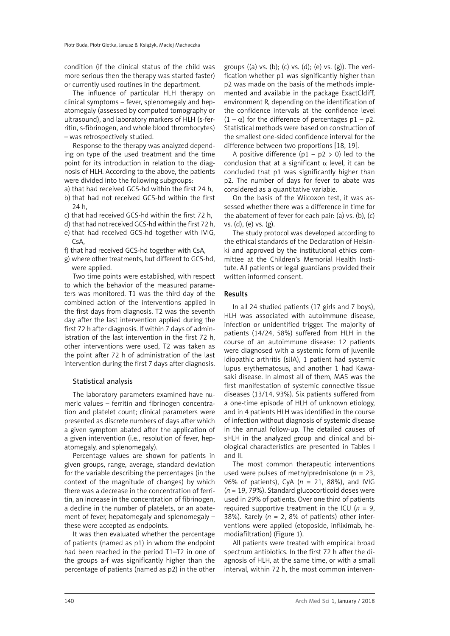condition (if the clinical status of the child was more serious then the therapy was started faster) or currently used routines in the department.

The influence of particular HLH therapy on clinical symptoms – fever, splenomegaly and hepatomegaly (assessed by computed tomography or ultrasound), and laboratory markers of HLH (s-ferritin, s-fibrinogen, and whole blood thrombocytes) – was retrospectively studied.

Response to the therapy was analyzed depending on type of the used treatment and the time point for its introduction in relation to the diagnosis of HLH. According to the above, the patients were divided into the following subgroups:

- a) that had received GCS-hd within the first 24 h.
- b) that had not received GCS-hd within the first 24 h
- c) that had received GCS-hd within the first 72 h,
- d) that had not received GCS-hd within the first 72 h,
- e) that had received GCS-hd together with IVIG,  $CsA$
- f) that had received GCS-hd together with CsA,
- g) where other treatments, but different to GCS-hd, were applied.

Two time points were established, with respect to which the behavior of the measured parameters was monitored. T1 was the third day of the combined action of the interventions applied in the first days from diagnosis. T2 was the seventh day after the last intervention applied during the first 72 h after diagnosis. If within 7 days of administration of the last intervention in the first 72 h, other interventions were used, T2 was taken as the point after 72 h of administration of the last intervention during the first 7 days after diagnosis.

#### Statistical analysis

The laboratory parameters examined have numeric values – ferritin and fibrinogen concentration and platelet count; clinical parameters were presented as discrete numbers of days after which a given symptom abated after the application of a given intervention (i.e., resolution of fever, hepatomegaly, and splenomegaly).

Percentage values are shown for patients in given groups, range, average, standard deviation for the variable describing the percentages (in the context of the magnitude of changes) by which there was a decrease in the concentration of ferritin, an increase in the concentration of fibrinogen, a decline in the number of platelets, or an abatement of fever, hepatomegaly and splenomegaly – these were accepted as endpoints.

It was then evaluated whether the percentage of patients (named as p1) in whom the endpoint had been reached in the period T1–T2 in one of the groups a-f was significantly higher than the percentage of patients (named as p2) in the other

groups ((a) vs. (b); (c) vs. (d); (e) vs. (g)). The verification whether p1 was significantly higher than p2 was made on the basis of the methods implemented and available in the package ExactCldiff, environment R, depending on the identification of the confidence intervals at the confidence level  $(1 - \alpha)$  for the difference of percentages p1 – p2. Statistical methods were based on construction of the smallest one-sided confidence interval for the difference between two proportions [18, 19].

A positive difference  $(p1 - p2 > 0)$  led to the conclusion that at a significant  $\alpha$  level, it can be concluded that p1 was significantly higher than p2. The number of days for fever to abate was considered as a quantitative variable.

On the basis of the Wilcoxon test, it was assessed whether there was a difference in time for the abatement of fever for each pair: (a) vs. (b), (c) vs. (d), (e) vs. (g).

The study protocol was developed according to the ethical standards of the Declaration of Helsinki and approved by the institutional ethics committee at the Children's Memorial Health Institute. All patients or legal guardians provided their written informed consent.

## Results

In all 24 studied patients (17 girls and 7 boys), HLH was associated with autoimmune disease, infection or unidentified trigger. The majority of patients (14/24, 58%) suffered from HLH in the course of an autoimmune disease: 12 patients were diagnosed with a systemic form of juvenile idiopathic arthritis (sJIA), 1 patient had systemic lupus erythematosus, and another 1 had Kawasaki disease. In almost all of them, MAS was the first manifestation of systemic connective tissue diseases (13/14, 93%). Six patients suffered from a one-time episode of HLH of unknown etiology, and in 4 patients HLH was identified in the course of infection without diagnosis of systemic disease in the annual follow-up. The detailed causes of sHLH in the analyzed group and clinical and biological characteristics are presented in Tables I and II.

The most common therapeutic interventions used were pulses of methylprednisolone (*n* = 23, 96% of patients), CyA (*n* = 21, 88%), and IVIG (*n* = 19, 79%). Standard glucocorticoid doses were used in 29% of patients. Over one third of patients required supportive treatment in the ICU ( $n = 9$ , 38%). Rarely ( $n = 2$ , 8% of patients) other interventions were applied (etoposide, infliximab, hemodiafiltration) (Figure 1).

All patients were treated with empirical broad spectrum antibiotics. In the first 72 h after the diagnosis of HLH, at the same time, or with a small interval, within 72 h, the most common interven-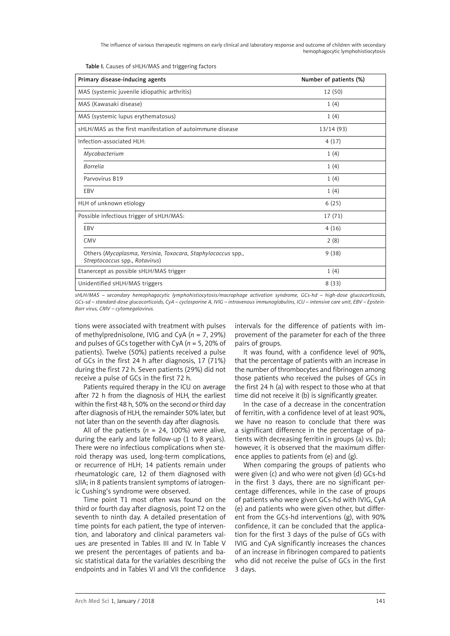Table I. Causes of sHLH/MAS and triggering factors

| Primary disease-inducing agents                                                                | Number of patients (%) |
|------------------------------------------------------------------------------------------------|------------------------|
| MAS (systemic juvenile idiopathic arthritis)                                                   | 12 (50)                |
| MAS (Kawasaki disease)                                                                         | 1(4)                   |
| MAS (systemic lupus erythematosus)                                                             | 1(4)                   |
| sHLH/MAS as the first manifestation of autoimmune disease                                      | 13/14 (93)             |
| Infection-associated HLH:                                                                      | 4(17)                  |
| Mycobacterium                                                                                  | 1(4)                   |
| Borrelia                                                                                       | 1(4)                   |
| Parvovirus B19                                                                                 | 1(4)                   |
| EBV                                                                                            | 1(4)                   |
| HLH of unknown etiology                                                                        | 6(25)                  |
| Possible infectious trigger of sHLH/MAS:                                                       | 17(71)                 |
| EBV                                                                                            | 4(16)                  |
| CMV                                                                                            | 2(8)                   |
| Others (Mycoplasma, Yersinia, Toxocara, Staphylococcus spp.,<br>Streptococcus spp., Rotavirus) | 9(38)                  |
| Etanercept as possible sHLH/MAS trigger                                                        | 1(4)                   |
| Unidentified sHLH/MAS triggers                                                                 | 8(33)                  |

*sHLH/MAS – secondary hemophagocytic lymphohistiocytosis/macrophage activation syndrome, GCs-hd – high-dose glucocorticoids, GCs-sd – standard-dose glucocorticoids, CyA – cyclosporine A, IVIG – intravenous immunoglobulins, ICU – intensive care unit, EBV – Epstein-Barr virus, CMV – cytomegalovirus.*

tions were associated with treatment with pulses of methylprednisolone, IVIG and CyA (*n* = 7, 29%) and pulses of GCs together with CyA (*n* = 5, 20% of patients). Twelve (50%) patients received a pulse of GCs in the first 24 h after diagnosis, 17 (71%) during the first 72 h. Seven patients (29%) did not receive a pulse of GCs in the first 72 h.

Patients required therapy in the ICU on average after 72 h from the diagnosis of HLH, the earliest within the first 48 h, 50% on the second or third day after diagnosis of HLH, the remainder 50% later, but not later than on the seventh day after diagnosis.

All of the patients ( $n = 24$ , 100%) were alive, during the early and late follow-up (1 to 8 years). There were no infectious complications when steroid therapy was used, long-term complications, or recurrence of HLH; 14 patients remain under rheumatologic care, 12 of them diagnosed with sJIA; in 8 patients transient symptoms of iatrogenic Cushing's syndrome were observed.

Time point T1 most often was found on the third or fourth day after diagnosis, point T2 on the seventh to ninth day. A detailed presentation of time points for each patient, the type of intervention, and laboratory and clinical parameters values are presented in Tables III and IV. In Table V we present the percentages of patients and basic statistical data for the variables describing the endpoints and in Tables VI and VII the confidence intervals for the difference of patients with improvement of the parameter for each of the three pairs of groups.

It was found, with a confidence level of 90%, that the percentage of patients with an increase in the number of thrombocytes and fibrinogen among those patients who received the pulses of GCs in the first 24 h (a) with respect to those who at that time did not receive it (b) is significantly greater.

In the case of a decrease in the concentration of ferritin, with a confidence level of at least 90%, we have no reason to conclude that there was a significant difference in the percentage of patients with decreasing ferritin in groups (a) vs. (b); however, it is observed that the maximum difference applies to patients from (e) and (g).

When comparing the groups of patients who were given (c) and who were not given (d) GCs-hd in the first 3 days, there are no significant percentage differences, while in the case of groups of patients who were given GCs-hd with IVIG, CyA (e) and patients who were given other, but different from the GCs-hd interventions (g), with 90% confidence, it can be concluded that the application for the first 3 days of the pulse of GCs with IVIG and CyA significantly increases the chances of an increase in fibrinogen compared to patients who did not receive the pulse of GCs in the first 3 days.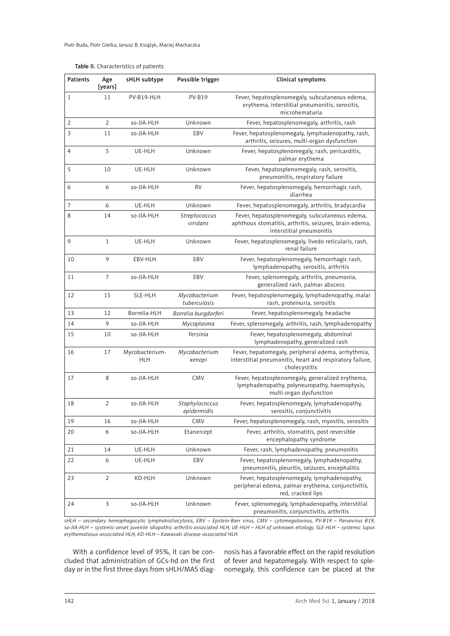| Patients         | Age<br>[years] | sHLH subtype          | Possible trigger              | Clinical symptoms                                                                                                                    |
|------------------|----------------|-----------------------|-------------------------------|--------------------------------------------------------------------------------------------------------------------------------------|
| $\mathbf{1}$     | 11             | PV-B19-HLH            | PV-B19                        | Fever, hepatosplenomegaly, subcutaneous edema,<br>erythema, interstitial pneumonitis, serositis,<br>microhematuria                   |
| $\overline{2}$   | $\overline{2}$ | so-JIA-HLH            | Unknown                       | Fever, hepatosplenomegaly, arthritis, rash                                                                                           |
| 3                | 11             | so-JIA-HLH            | EBV                           | Fever, hepatosplenomegaly, lymphadenopathy, rash,<br>arthritis, seizures, multi-organ dysfunction                                    |
| $\overline{4}$   | 5              | UE-HLH                | Unknown                       | Fever, hepatosplenomegaly, rash, pericarditis,<br>palmar erythema                                                                    |
| 5                | 10             | UE-HLH                | Unknown                       | Fever, hepatosplenomegaly, rash, serositis,<br>pneumonitis, respiratory failure                                                      |
| 6                | 6              | so-JIA-HLH            | <b>RV</b>                     | Fever, hepatosplenomegaly, hemorrhagic rash,<br>diarrhea                                                                             |
| $\boldsymbol{7}$ | 6              | UE-HLH                | Unknown                       | Fever, hepatosplenomegaly, arthritis, bradycardia                                                                                    |
| 8                | 14             | so-JIA-HLH            | Streptococcus<br>viridans     | Fever, hepatosplenomegaly, subcutaneous edema,<br>aphthous stomatitis, arthritis, seizures, brain edema,<br>interstitial pneumonitis |
| 9                | $\mathbf{1}$   | UE-HLH                | Unknown                       | Fever, hepatosplenomegaly, livedo reticularis, rash,<br>renal failure                                                                |
| 10               | 9              | EBV-HLH               | EBV                           | Fever, hepatosplenomegaly, hemorrhagic rash,<br>lymphadenopathy, serositis, arthritis                                                |
| 11               | 7              | so-JIA-HLH            | EBV                           | Fever, splenomegaly, arthritis, pneumonia,<br>generalized rash, palmar abscess                                                       |
| 12               | 15             | SLE-HLH               | Mycobacterium<br>tuberculosis | Fever, hepatosplenomegaly, lymphadenopathy, malar<br>rash, proteinuria, serositis                                                    |
| 13               | 12             | Borrelia-HLH          | Borrelia burgdorferi          | Fever, hepatosplenomegaly, headache                                                                                                  |
| 14               | 9              | so-JIA-HLH            | Mycoplasma                    | Fever, splenomegaly, arthritis, rash, lymphadenopathy                                                                                |
| 15               | 10             | so-JIA-HLH            | Yersinia                      | Fever, hepatosplenomegaly, abdominal<br>lymphadenopathy, generalized rash                                                            |
| 16               | 17             | Mycobacterium-<br>HLH | Mycobacterium<br>хепорі       | Fever, hepatomegaly, peripheral edema, arrhythmia,<br>interstitial pneumonitis, heart and respiratory failure,<br>cholecystitis      |
| 17               | 8              | so-JIA-HLH            | CMV                           | Fever, hepatosplenomegaly, generalized erythema,<br>lymphadenopathy, polyneuropathy, haemoptysis,<br>multi-organ dysfunction         |
| 18               | $\overline{2}$ | so-JIA-HLH            | Staphylococcus<br>epidermidis | Fever, hepatosplenomegaly, lymphadenopathy,<br>serositis, conjunctivitis                                                             |
| 19               | 16             | so-JIA-HLH            | CMV                           | Fever, hepatosplenomegaly, rash, myositis, serositis                                                                                 |
| 20               | 6              | so-JIA-HLH            | Etanercept                    | Fever, arthritis, stomatitis, post reversible<br>encephalopathy syndrome                                                             |
| 21               | 14             | UE-HLH                | Unknown                       | Fever, rash, lymphadenopathy, pneumonitis                                                                                            |
| 22               | 6              | UE-HLH                | EBV                           | Fever, hepatosplenomegaly, lymphadenopathy,<br>pneumonitis, pleuritis, seizures, encephalitis                                        |
| 23               | $\overline{2}$ | KD-HLH                | Unknown                       | Fever, hepatosplenomegaly, lymphadenopathy,<br>peripheral edema, palmar erythema, conjunctivitis,<br>red, cracked lips               |
| 24               | 3              | so-JIA-HLH            | Unknown                       | Fever, splenomegaly, lymphadenopathy, interstitial<br>pneumonitis, conjunctivitis, arthritis                                         |

#### Table II. Characteristics of patients

*sHLH – secondary hemophagocytic lymphohistiocytosis, EBV – Epstein-Barr virus, CMV – cytomegalovirus, PV-B19 – Parvovirus B19, so-JIA-HLH – systemic-onset juvenile idiopathic arthritis-associated HLH, UE-HLH – HLH of unknown etiology, SLE-HLH – systemic lupus erythematosus-associated HLH, KD-HLH – Kawasaki disease-associated HLH.*

With a confidence level of 95%, it can be concluded that administration of GCs-hd on the first day or in the first three days from sHLH/MAS diagnosis has a favorable effect on the rapid resolution of fever and hepatomegaly. With respect to splenomegaly, this confidence can be placed at the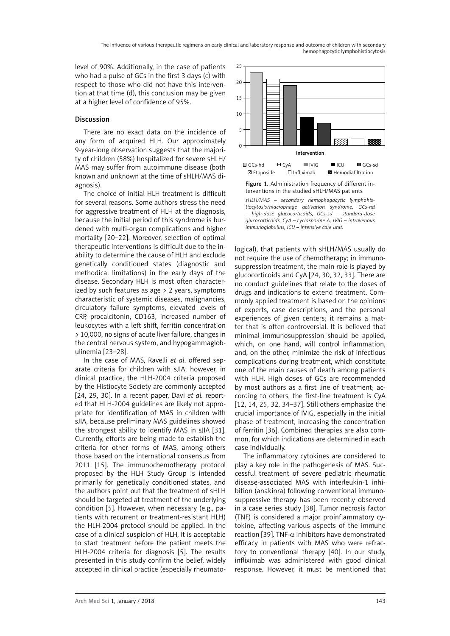level of 90%. Additionally, in the case of patients who had a pulse of GCs in the first 3 days (c) with respect to those who did not have this intervention at that time (d), this conclusion may be given at a higher level of confidence of 95%.

#### Discussion

There are no exact data on the incidence of any form of acquired HLH. Our approximately 9-year-long observation suggests that the majority of children (58%) hospitalized for severe sHLH/ MAS may suffer from autoimmune disease (both known and unknown at the time of sHLH/MAS diagnosis).

The choice of initial HLH treatment is difficult for several reasons. Some authors stress the need for aggressive treatment of HLH at the diagnosis, because the initial period of this syndrome is burdened with multi-organ complications and higher mortality [20–22]. Moreover, selection of optimal therapeutic interventions is difficult due to the inability to determine the cause of HLH and exclude genetically conditioned states (diagnostic and methodical limitations) in the early days of the disease. Secondary HLH is most often characterized by such features as age  $> 2$  years, symptoms characteristic of systemic diseases, malignancies, circulatory failure symptoms, elevated levels of CRP, procalcitonin, CD163, increased number of leukocytes with a left shift, ferritin concentration > 10,000, no signs of acute liver failure, changes in the central nervous system, and hypogammaglobulinemia [23–28].

In the case of MAS, Ravelli *et al*. offered separate criteria for children with sJIA; however, in clinical practice, the HLH-2004 criteria proposed by the Histiocyte Society are commonly accepted [24, 29, 30]. In a recent paper, Davi *et al.* reported that HLH-2004 guidelines are likely not appropriate for identification of MAS in children with sJIA, because preliminary MAS guidelines showed the strongest ability to identify MAS in sJIA [31]. Currently, efforts are being made to establish the criteria for other forms of MAS, among others those based on the international consensus from 2011 [15]. The immunochemotherapy protocol proposed by the HLH Study Group is intended primarily for genetically conditioned states, and the authors point out that the treatment of sHLH should be targeted at treatment of the underlying condition [5]. However, when necessary (e.g., patients with recurrent or treatment-resistant HLH) the HLH-2004 protocol should be applied. In the case of a clinical suspicion of HLH, it is acceptable to start treatment before the patient meets the HLH-2004 criteria for diagnosis [5]. The results presented in this study confirm the belief, widely accepted in clinical practice (especially rheumato-



Figure 1. Administration frequency of different interventions in the studied sHLH/MAS patients

*sHLH/MAS – secondary hemophagocytic lymphohistiocytosis/macrophage activation syndrome, GCs-hd – high-dose glucocorticoids, GCs-sd – standard-dose glucocorticoids, CyA – cyclosporine A, IVIG – intravenous immunoglobulins, ICU – intensive care unit.*

logical), that patients with sHLH/MAS usually do not require the use of chemotherapy; in immunosuppression treatment, the main role is played by glucocorticoids and CyA [24, 30, 32, 33]. There are no conduct guidelines that relate to the doses of drugs and indications to extend treatment. Commonly applied treatment is based on the opinions of experts, case descriptions, and the personal experiences of given centers; it remains a matter that is often controversial. It is believed that minimal immunosuppression should be applied, which, on one hand, will control inflammation, and, on the other, minimize the risk of infectious complications during treatment, which constitute one of the main causes of death among patients with HLH. High doses of GCs are recommended by most authors as a first line of treatment; according to others, the first-line treatment is CyA [12, 14, 25, 32, 34–37]. Still others emphasize the crucial importance of IVIG, especially in the initial phase of treatment, increasing the concentration of ferritin [36]. Combined therapies are also common, for which indications are determined in each case individually.

The inflammatory cytokines are considered to play a key role in the pathogenesis of MAS. Successful treatment of severe pediatric rheumatic disease-associated MAS with interleukin-1 inhibition (anakinra) following conventional immunosuppressive therapy has been recently observed in a case series study [38]. Tumor necrosis factor (TNF) is considered a major proinflammatory cytokine, affecting various aspects of the immune reaction [39]. TNF- $\alpha$  inhibitors have demonstrated efficacy in patients with MAS who were refractory to conventional therapy [40]. In our study, infliximab was administered with good clinical response. However, it must be mentioned that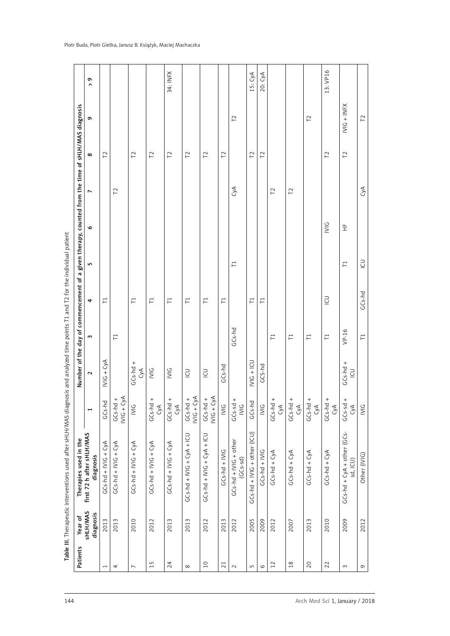| Number of the day of commencement of a given therapy, counted from the time of sHLH/MAS diagnosis                                                         | o<br>8<br>L<br>O<br>5<br>4                                         | 12                                          | $\Gamma$                                          | $\Gamma$                                            | $\Gamma$<br>$\overline{\Gamma}$                      | $\Gamma$<br>$\overline{\Gamma}$                                     | 12                                                              | 12<br>$\overline{\Gamma}$                                | 12                            | $\Gamma$<br>CyA<br>$\overline{\Gamma}$                         | $\Gamma$                                            | 12                               | $\Gamma$                                  | 12                                        | 12                                          | 12<br>$\frac{1}{2}$<br>UDI                | $IVIG + INFX$<br>12<br>Ë<br>$\overline{\Gamma}$ |
|-----------------------------------------------------------------------------------------------------------------------------------------------------------|--------------------------------------------------------------------|---------------------------------------------|---------------------------------------------------|-----------------------------------------------------|------------------------------------------------------|---------------------------------------------------------------------|-----------------------------------------------------------------|----------------------------------------------------------|-------------------------------|----------------------------------------------------------------|-----------------------------------------------------|----------------------------------|-------------------------------------------|-------------------------------------------|---------------------------------------------|-------------------------------------------|-------------------------------------------------|
|                                                                                                                                                           | ω<br>$\overline{\mathbf{c}}$                                       | $\overline{\Gamma}$<br>$N1G + CYA$          | $\overline{\Gamma}$                               | $\overline{\Gamma}$<br>$GCS-hd +$<br>5 <sup>4</sup> | <b>DIAI</b>                                          | <b>INIG</b>                                                         | $\Gamma$<br>$\overline{C}$                                      | UDI                                                      | $\overline{\Gamma}$<br>GCs-hd | GC <sub>s</sub> -hd                                            | $\overline{\Gamma}$<br>$NIG + ICU$                  | $\overline{\Gamma}$<br>GCS-hd    | $\overline{\phantom{0}}$                  | $\overline{\phantom{0}}$                  | $\overline{\Box}$                           | $\overline{\Gamma}$                       | $VP-16$<br>$GCs-hd +$                           |
| Table III. Therapeutic interventions used after sHLH/MAS diagnosis and analyzed time points T1 and T2 for the individual patient<br>Therapies used in the | $\overline{\phantom{0}}$<br>first 72 h after sHLH/MAS<br>diagnosis | GC <sub>s-hd</sub><br>$GCs-hd + IVIG + CyA$ | $GCs-hd +$<br>IVIG + CyA<br>$GCs-hd + IVIG + CyA$ | $\frac{1}{2}$<br>$GCs-hd + NIG + CyA$               | GC <sub>s-hd</sub> -<br>CyA<br>$GCs-hd + IVIG + CyA$ | $+$<br>GC <sub>s-hd</sub><br>$\mathcal{S}$<br>$GCs-hd + IVIG + CyA$ | $NIG + CYA$<br>$^{+}$<br>GCs-hd-<br>$GCs-hd + IVIG + CyA + ICU$ | $NIG + CYA$<br>$GCs-hd +$<br>$GCs-hd + IVIG + CyA + ICU$ | IVIG<br>$GCs-hd + IVIG$       | $GCS-Sd$<br><b>DINI</b><br>GCs-hd + IVIG + other<br>$(GCs-sd)$ | GC <sub>S-hd</sub><br>$GCs-hd + IV G + other (ICU)$ | $\frac{1}{2}$<br>$GCS-hd + IVIG$ | GC <sub>S-hd</sub><br>CyA<br>$GCS-hd+CyA$ | GC <sub>S-hd</sub><br>CyA<br>$GCs-hd+CyA$ | GC <sub>s-hd</sub> -<br>CyA<br>$GCS-hd+CyA$ | GC <sub>S-hd</sub><br>CyA<br>$GCs-hd+CyA$ | $GCS-Sd$<br>$GCs-hd + CyA + other (GCs-$        |
| Year of<br>Patients                                                                                                                                       | SHLH/MAS<br>diagnosis                                              | 2013<br>$\overline{ }$                      | 2013<br>4                                         | 2010<br>$\overline{ }$                              | 2012<br>15                                           | 2013<br>24                                                          | 2013<br>${}^{\infty}$                                           | 2012<br>$\overline{a}$                                   | 2013<br>21                    | 2012<br>$\sim$                                                 | 2005<br>$\sqrt{2}$                                  | 2009<br>$\mathbf{\hat{o}}$       | 2012<br>12                                | 2007<br>$^{28}$                           | 2013<br>20                                  | 2010<br>22                                | 2009<br>$\sim$                                  |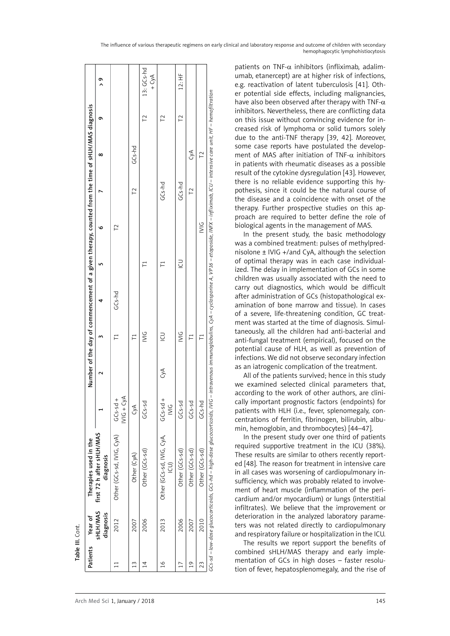|                                                                                                   | Ō<br>$\hat{\phantom{a}}$               |                                                    |                    | 13: GCs-hd<br>CyA |                                             | Ë<br>12:        |                     |                     | patients on TNF- $\alpha$ inhibitors (infliximab, adalim-<br>umab, etanercept) are at higher risk of infections,<br>e.g. reactivation of latent tuberculosis [41]. Oth-<br>er potential side effects, including malignancies,                                                                                                                                                                                                         |
|---------------------------------------------------------------------------------------------------|----------------------------------------|----------------------------------------------------|--------------------|-------------------|---------------------------------------------|-----------------|---------------------|---------------------|---------------------------------------------------------------------------------------------------------------------------------------------------------------------------------------------------------------------------------------------------------------------------------------------------------------------------------------------------------------------------------------------------------------------------------------|
|                                                                                                   | c                                      |                                                    |                    | $\Gamma$          | 12                                          | 12              |                     |                     | have also been observed after therapy with TNF- $\alpha$<br>inhibitors. Nevertheless, there are conflicting data<br>on this issue without convincing evidence for in-<br>creased risk of lymphoma or solid tumors solely                                                                                                                                                                                                              |
|                                                                                                   | 8                                      |                                                    | GC <sub>S-hd</sub> |                   |                                             |                 | CyA                 | $\overline{\Gamma}$ | due to the anti-TNF therapy [39, 42]. Moreover,<br>some case reports have postulated the develop-<br>ment of MAS after initiation of TNF- $\alpha$ inhibitors<br>in patients with rheumatic diseases as a possible                                                                                                                                                                                                                    |
|                                                                                                   | N                                      |                                                    | $\Gamma$           |                   | GCs-hd                                      | GCs-hd          | $\Gamma$            |                     | result of the cytokine dysregulation [43]. However,<br>there is no reliable evidence supporting this hy-<br>pothesis, since it could be the natural course of<br>the disease and a coincidence with onset of the<br>therapy. Further prospective studies on this ap-                                                                                                                                                                  |
|                                                                                                   | 6                                      | $\Gamma$                                           |                    |                   |                                             |                 |                     | $\frac{1}{2}$       | proach are required to better define the role of<br>biological agents in the management of MAS.<br>In the present study, the basic methodology<br>was a combined treatment: pulses of methylpred-                                                                                                                                                                                                                                     |
|                                                                                                   | 5                                      |                                                    |                    | $\Gamma$          | $\Gamma$                                    | <b>PD</b>       |                     |                     | nisolone ± IVIG +/and CyA, although the selection<br>of optimal therapy was in each case individual-<br>ized. The delay in implementation of GCs in some<br>children was usually associated with the need to                                                                                                                                                                                                                          |
|                                                                                                   | 4                                      | GCs-hd                                             |                    |                   |                                             |                 |                     |                     | carry out diagnostics, which would be difficult<br>after administration of GCs (histopathological ex-<br>amination of bone marrow and tissue). In cases<br>of a severe, life-threatening condition, GC treat-<br>ment was started at the time of diagnosis. Simul-                                                                                                                                                                    |
| Number of the day of commencement of a given therapy, counted from the time of sHLH/MAS diagnosis | ω                                      | $\Gamma$                                           | $\Gamma$           | DIN               | $\overline{C}$                              | <b>DIN</b>      | $\overline{\Gamma}$ | $\overline{\Gamma}$ | taneously, all the children had anti-bacterial and<br>anti-fungal treatment (empirical), focused on the<br>potential cause of HLH, as well as prevention of<br>infections. We did not observe secondary infection                                                                                                                                                                                                                     |
|                                                                                                   | 2                                      |                                                    |                    |                   | CyA                                         |                 |                     |                     | as an iatrogenic complication of the treatment.<br>All of the patients survived; hence in this study<br>we examined selected clinical parameters that,<br>according to the work of other authors, are clini-                                                                                                                                                                                                                          |
|                                                                                                   |                                        | ΑĆ<br>$\,{}^+$<br>GC <sub>5</sub> -sd<br>$NIG + 0$ | CyA                | GCs-sd            | $^{+}$<br>GCs-sd<br><b>DIAI</b>             | GCs-sd          | $GCS-Sd$            | GC <sub>S-hd</sub>  | cally important prognostic factors (endpoints) for<br>patients with HLH (i.e., fever, splenomegaly, con-<br>centrations of ferritin, fibrinogen, bilirubin, albu-<br>min, hemoglobin, and thrombocytes) [44-47].                                                                                                                                                                                                                      |
| Therapies used in the                                                                             | first 72 h after sHLH/MAS<br>diagnosis | Other (GCs-sd, IVIG, CyA)                          | Other (CyA)        | Other (GCs-sd)    | Other (GCs-sd, IVIG, CyA,<br>$\overline{c}$ | Other (GCs-sd)  | Other (GCs-sd)      | Other (GCs-sd)      | In the present study over one third of patients<br>required supportive treatment in the ICU (38%).<br>These results are similar to others recently report-<br>ed [48]. The reason for treatment in intensive care<br>in all cases was worsening of cardiopulmonary in-<br>sufficiency, which was probably related to involve-<br>ment of heart muscle (inflammation of the peri-<br>cardium and/or myocardium) or lungs (interstitial |
|                                                                                                   | Year of<br>sHLH/MAS<br>diagnosis       | 2012                                               | 2007               | 2006              | 2013                                        | 2006            | 2007                | 2010                | infiltrates). We believe that the improvement or<br>deterioration in the analyzed laboratory parame-<br>ters was not related directly to cardiopulmonary<br>and respiratory failure or hospitalization in the ICU.                                                                                                                                                                                                                    |
| Patients                                                                                          |                                        | $\overline{11}$                                    | 13                 | $\overline{1}$    | $\frac{8}{1}$                               | $\overline{17}$ | $\overline{19}$     | 23                  | The results we report support the benefits of<br>combined sHLH/MAS therapy and early imple-<br>mentation of GCs in high doses - faster resolu-<br>tion of fever, hepatosplenomegaly, and the rise of                                                                                                                                                                                                                                  |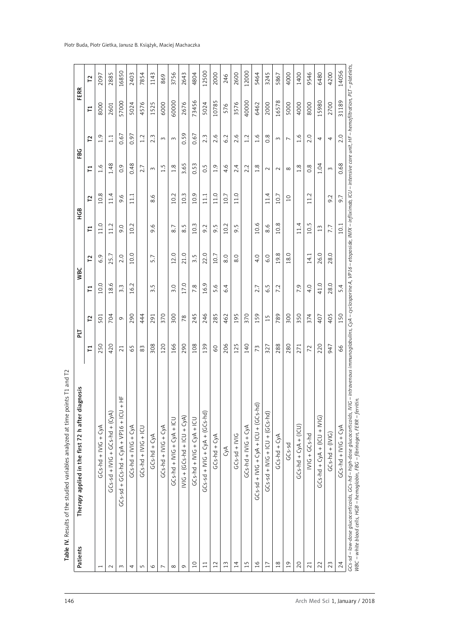| Patients                 | Therapy applied in the first 72 h after diagnosis |                 | 词        |                  | <b>VBC</b>    |               | ЯDH                 |                  | EBG              |       | FERR  |
|--------------------------|---------------------------------------------------|-----------------|----------|------------------|---------------|---------------|---------------------|------------------|------------------|-------|-------|
|                          |                                                   | Д               | 12       | Д                | 51            | Д             | 51                  | Ε                | 51               | Ε     | 12    |
| $\overline{\phantom{0}}$ | $GCs-hd + IWG + CyA$                              | 250             | 501      | 10.0             | 6.9           | 11.0          | 10.8                | 1.6              | 1.9              | 8000  | 2097  |
| $\sim$                   | $GCS-Sd + IVIG + GCS-hd + (CYA)$                  | 420             | 704      | 18.6             | 25.7          | 11.2          | 11.4                | 1.48             | 1.1              | 2601  | 2885  |
| $\sim$                   | $GCs-Sd + GCs-hd + CyA + VP16 + ICU + HE$         | $\overline{21}$ | $\sigma$ | $3.\overline{3}$ | 2.0           | 9.0           | 9.6                 | 0.9              | 0.67             | 57000 | 16850 |
| 4                        | $GCS-hd + IVIG + CyA$                             | 65              | 290      | 16.2             | 10.0          | 10.2          | 111                 | 0.48             | 0.97             | 5024  | 2403  |
| S                        | $GCs-hd + IVIG + ICU$                             | 83              | 444      |                  |               |               |                     | 2.7              | 1.2              | 4576  | 7854  |
| 6                        | $GCS-hd + CyA$                                    | 308             | 291      | $3.\overline{5}$ | 5.7           | 9.6           | $\circ$<br>$\infty$ | $\sim$           | 2.3              | 1525  | 1143  |
| $\overline{ }$           | $GCs-hd + IVIG + CyA$                             | 120             | 370      |                  |               |               |                     | ŗ.               | $\sim$           | 6000  | 869   |
| $\infty$                 | $GCs-hd + IVG + CyA + ICU$                        | 166             | 300      | 3.0              | 12.0          | 8.7           | 10.2                | 1.8              | $\sim$           | 60000 | 3756  |
| $\circ$                  | $N(G + UG - T G - T G - T G - T G)$               | 290             | 78       | 17.0             | 21.0          | 8.5           | 10.3                | 3.65             | 0.59             | 2676  | 2643  |
| $\overline{a}$           | $GCs-hd + IVIG + CyA + ICU$                       | 108             | 245      | 7.8              | S<br>m        | 10.3          | 10.9                | 0.53             | 0.67             | 73456 | 4804  |
| $\Xi$                    | $GCS-Sd + CyA + Csg + GCS -hd$                    | 139             | 246      | 16.9             | 22.0          | 9.2           | 11.1                | 0.5              | 2.3              | 5024  | 12500 |
| 12                       | $GCs-hd+CyA$                                      | $\infty$        | 285      | 5.6              | 10.7          | 9.5           | $11.0$              | 1.9              | 2.6              | 10785 | 2000  |
| 13                       | CyA                                               | 206             | 462      | 6.4              | $\frac{8}{6}$ | 10.2          | 10.7                | 4.6              | 6.2              | 576   | 246   |
| $\overline{1}$           | $GCS-Sd + WIG$                                    | 125             | 195      |                  | 8.0           | S<br>ö        | 11.0                | 2.4              | 2.6              | 3576  | 2600  |
| 15                       | $GCs-hd + IVIG + CyA$                             | 140             | 370      |                  |               |               |                     | 2.2              | 1.2              | 40000 | 12000 |
| $\frac{8}{16}$           | $GCs-Sd + IVIG + ICU + (GCs-Hd)$                  | 73              | 159      | 2.7              | 4.0           | 10.6          |                     | 1.8              | 1.6              | 6462  | 5464  |
| $\overline{17}$          | $GCS-Sd + IVC + ICU + (GCshd)$                    | 327             | 15       | 6.5              | 6.0           | 8.6           | 11.4                | $\sim$           | $0.\overline{8}$ | 2000  | 3245  |
| 18                       | $GCS-hd+CVA$                                      | 288             | 789      | 7.2              | 19.8          | 10.8          | 10.7                | $\sim$           | $\sim$           | 16578 | 5867  |
| $\overline{a}$           | GC <sub>5-5</sub> d                               | 280             | 300      |                  | 18.0          |               | $\overline{10}$     | $\infty$         | $\overline{ }$   | 5000  | 4000  |
| 20                       | $GCS-hd + CyA + (ICU)$                            | 271             | 350      | 7.9              |               | 11.4          |                     | 1.8              | 1.6              | 4000  | 1400  |
| $\overline{21}$          | $WIG + GCs-hd$                                    | 72              | 374      | 4.0              | 14.1          | 10.5          | 11.2                | $0.\overline{8}$ | 2.0              | 8000  | 9546  |
| 22                       | $GCS-hd + CyA + (ICU + N)G$                       | 220             | 407      | 41.0             | 26.0          | $\frac{2}{3}$ |                     | 1.04             | 4                | 15980 | 6480  |
| 23                       | $GCs-hd + (IV)$                                   | 947             | 405      | 28.0             | 28.0          | 7.7           | 9.2                 | $\sim$           | 4                | 2700  | 4200  |
| 24                       | $GCs-hd + IVIG + CyA$                             | 89              | 150      | 5.4              |               | 10.1          | 9.7                 | 0.68             | 2.0              | 31189 | 14056 |

| ı      |
|--------|
| j<br>i |
|        |
| i<br>  |
| ١<br>i |
| ١      |
| ļ<br>١ |
| Ĺ      |
|        |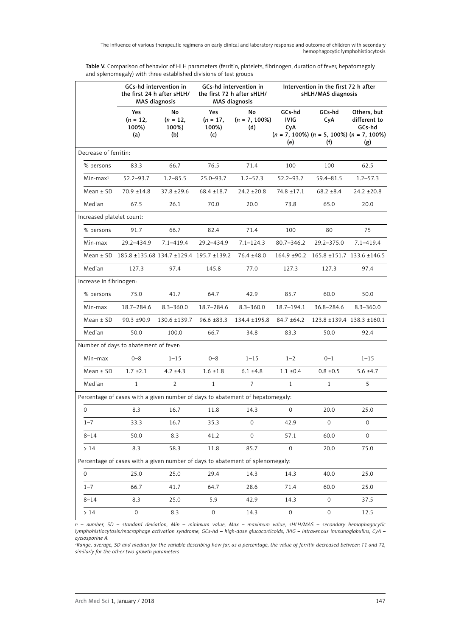| Table V. Comparison of behavior of HLH parameters (ferritin, platelets, fibrinogen, duration of fever, hepatomegaly |  |  |
|---------------------------------------------------------------------------------------------------------------------|--|--|
| and splenomegaly) with three established divisions of test groups                                                   |  |  |

|                           | the first 24 h after sHLH/<br><b>MAS diagnosis</b>                            | GCs-hd intervention in           |                                   | GCs-hd intervention in<br>the first 72 h after sHLH/<br><b>MAS diagnosis</b> |                                     | Intervention in the first 72 h after<br>sHLH/MAS diagnosis                 |                                              |
|---------------------------|-------------------------------------------------------------------------------|----------------------------------|-----------------------------------|------------------------------------------------------------------------------|-------------------------------------|----------------------------------------------------------------------------|----------------------------------------------|
|                           | Yes<br>$(n = 12,$<br>100%)<br>(a)                                             | No<br>$(n = 12,$<br>100%)<br>(b) | Yes<br>$(n = 17,$<br>100%)<br>(c) | No<br>$(n = 7, 100\%)$<br>(d)                                                | GCs-hd<br><b>IVIG</b><br>CyA<br>(e) | GCs-hd<br>CyA<br>$(n = 7, 100\%)$ $(n = 5, 100\%)$ $(n = 7, 100\%)$<br>(f) | Others, but<br>different to<br>GCs-hd<br>(g) |
| Decrease of ferritin:     |                                                                               |                                  |                                   |                                                                              |                                     |                                                                            |                                              |
| % persons                 | 83.3                                                                          | 66.7                             | 76.5                              | 71.4                                                                         | 100                                 | 100                                                                        | 62.5                                         |
| $Min-max1$                | $52.2 - 93.7$                                                                 | $1.2 - 85.5$                     | 25.0-93.7                         | $1.2 - 57.3$                                                                 | $52.2 - 93.7$                       | $59.4 - 81.5$                                                              | $1.2 - 57.3$                                 |
| $Mean \pm SD$             | $70.9 \pm 14.8$                                                               | 37.8 ± 29.6                      | $68.4 \pm 18.7$                   | $24.2 \pm 20.8$                                                              | 74.8 ±17.1                          | $68.2 \pm 8.4$                                                             | $24.2 \pm 20.8$                              |
| Median                    | 67.5                                                                          | 26.1                             | 70.0                              | 20.0                                                                         | 73.8                                | 65.0                                                                       | 20.0                                         |
| Increased platelet count: |                                                                               |                                  |                                   |                                                                              |                                     |                                                                            |                                              |
| % persons                 | 91.7                                                                          | 66.7                             | 82.4                              | 71.4                                                                         | 100                                 | 80                                                                         | 75                                           |
| Min-max                   | 29.2-434.9                                                                    | $7.1 - 419.4$                    | 29.2-434.9                        | $7.1 - 124.3$                                                                | $80.7 - 346.2$                      | $29.2 - 375.0$                                                             | $7.1 - 419.4$                                |
|                           | Mean ± SD 185.8 ±135.68 134.7 ±129.4 195.7 ±139.2                             |                                  |                                   | 76.4 ±48.0                                                                   | $164.9 \pm 90.2$                    | 165.8 ±151.7 133.6 ±146.5                                                  |                                              |
| Median                    | 127.3                                                                         | 97.4                             | 145.8                             | 77.0                                                                         | 127.3                               | 127.3                                                                      | 97.4                                         |
| Increase in fibrinogen:   |                                                                               |                                  |                                   |                                                                              |                                     |                                                                            |                                              |
| % persons                 | 75.0                                                                          | 41.7                             | 64.7                              | 42.9                                                                         | 85.7                                | 60.0                                                                       | 50.0                                         |
| Min-max                   | 18.7-284.6                                                                    | $8.3 - 360.0$                    | 18.7-284.6                        | $8.3 - 360.0$                                                                | $18.7 - 194.1$                      | 36.8-284.6                                                                 | $8.3 - 360.0$                                |
| $Mean \pm SD$             | $90.3 + 90.9$                                                                 | 130.6 ±139.7                     | $96.6 \pm 83.3$                   | 134.4 ±195.8                                                                 | $84.7 \pm 64.2$                     |                                                                            | 123.8 ±139.4 138.3 ±160.1                    |
| Median                    | 50.0                                                                          | 100.0                            | 66.7                              | 34.8                                                                         | 83.3                                | 50.0                                                                       | 92.4                                         |
|                           | Number of days to abatement of fever:                                         |                                  |                                   |                                                                              |                                     |                                                                            |                                              |
| Min-max                   | $0 - 8$                                                                       | $1 - 15$                         | $0 - 8$                           | $1 - 15$                                                                     | $1 - 2$                             | $0 - 1$                                                                    | $1 - 15$                                     |
| $Mean \pm SD$             | $1.7 \pm 2.1$                                                                 | $4.2 \pm 4.3$                    | $1.6 \pm 1.8$                     | $6.1 \pm 4.8$                                                                | $1.1 \pm 0.4$                       | $0.8 \pm 0.5$                                                              | $5.6 \pm 4.7$                                |
| Median                    | 1                                                                             | $\overline{2}$                   | $\mathbf{1}$                      | $\overline{7}$                                                               | $\mathbf{1}$                        | 1                                                                          | 5                                            |
|                           | Percentage of cases with a given number of days to abatement of hepatomegaly: |                                  |                                   |                                                                              |                                     |                                                                            |                                              |
| 0                         | 8.3                                                                           | 16.7                             | 11.8                              | 14.3                                                                         | 0                                   | 20.0                                                                       | 25.0                                         |
| $1 - 7$                   | 33.3                                                                          | 16.7                             | 35.3                              | 0                                                                            | 42.9                                | 0                                                                          | 0                                            |
| $8 - 14$                  | 50.0                                                                          | 8.3                              | 41.2                              | 0                                                                            | 57.1                                | 60.0                                                                       | 0                                            |
| >14                       | 8.3                                                                           | 58.3                             | 11.8                              | 85.7                                                                         | $\mathsf{O}$                        | 20.0                                                                       | 75.0                                         |
|                           | Percentage of cases with a given number of days to abatement of splenomegaly: |                                  |                                   |                                                                              |                                     |                                                                            |                                              |
| 0                         | 25.0                                                                          | 25.0                             | 29.4                              | 14.3                                                                         | 14.3                                | 40.0                                                                       | 25.0                                         |
| $1 - 7$                   | 66.7                                                                          | 41.7                             | 64.7                              | 28.6                                                                         | 71.4                                | 60.0                                                                       | 25.0                                         |
| $8 - 14$                  | 8.3                                                                           | 25.0                             | 5.9                               | 42.9                                                                         | 14.3                                | 0                                                                          | 37.5                                         |
| $>14\,$                   | 0                                                                             | 8.3                              | $\mathsf{O}$                      | 14.3                                                                         | $\circ$                             | 0                                                                          | 12.5                                         |

*n – number, SD – standard deviation, Min – minimum value, Max – maximum value, sHLH/MAS – secondary hemophagocytic lymphohistiocytosis/macrophage activation syndrome, GCs-hd – high-dose glucocorticoids, IVIG – intravenous immunoglobulins, CyA – cyclosporine A.*

*1 Range, average, SD and median for the variable describing how far, as a percentage, the value of ferritin decreased between T1 and T2, similarly for the other two growth parameters*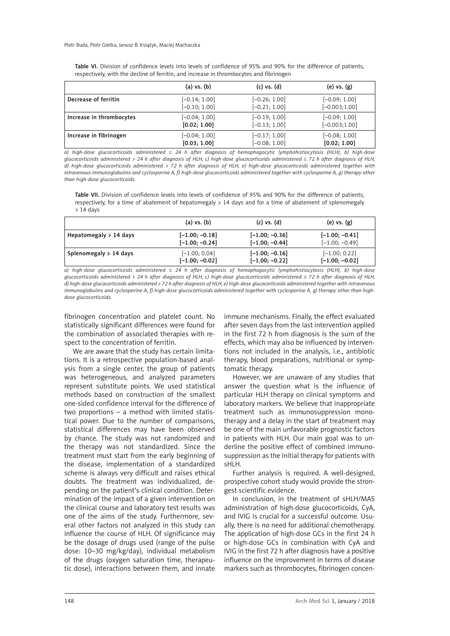|                          | $(a)$ vs. $(b)$ | $(c)$ vs. $(d)$ | (e) $vs.$ (g)   |
|--------------------------|-----------------|-----------------|-----------------|
| Decrease of ferritin     | $[-0.14; 1.00]$ | $[-0.26; 1.00]$ | $[-0.09; 1.00]$ |
|                          | $[-0.10; 1.00]$ | $[-0.21; 1.00]$ | $[-0.003;1.00]$ |
| Increase in thrombocytes | $[-0.04; 1.00]$ | $[-0.19; 1.00]$ | $[-0.09; 1.00]$ |
|                          | [0.02; 1.00]    | $[-0.13; 1.00]$ | $[-0.003;1.00]$ |
| Increase in fibrinogen   | $[-0.04; 1.00]$ | $[-0.17; 1.00]$ | $[-0.08; 1.00]$ |
|                          | [0.03; 1.00]    | $[-0.08; 1.00]$ | [0.02; 1.00]    |

Table VI. Division of confidence levels into levels of confidence of 95% and 90% for the difference of patients, respectively, with the decline of ferritin, and increase in thrombocytes and fibrinogen

*a) high-dose glucocorticoids administered* ≤ *24 h after diagnosis of hemophagocytic lymphohistiocytosis (HLH), b) high-dose glucocorticoids administered > 24 h after diagnosis of HLH, c) high-dose glucocorticoids administered* ≤ *72 h after diagnosis of HLH, d) high-dose glucocorticoids administered > 72 h after diagnosis of HLH, e) high-dose glucocorticoids administered together with intravenous immunoglobulins and cyclosporine A, f) high-dose glucocorticoids administered together with cyclosporine A, g) therapy other than high-dose glucocorticoids.*

Table VII. Division of confidence levels into levels of confidence of 95% and 90% for the difference of patients, respectively, for a time of abatement of hepatomegaly > 14 days and for a time of abatement of splenomegaly  $> 14$  days

|                          | $(a)$ vs. $(b)$  | $(c)$ vs. $(d)$  | (e) $vs.$ (g)    |
|--------------------------|------------------|------------------|------------------|
| Hepatomegaly $> 14$ days | $[-1.00; -0.18]$ | $[-1.00; -0.36]$ | $[-1.00; -0.41]$ |
|                          | $[-1.00; -0.24]$ | $[-1.00; -0.44]$ | $[-1.00; -0.49]$ |
| Splenomegaly $> 14$ days | $[-1.00; 0.04]$  | $[-1.00; -0.16]$ | $[-1.00; 0.22]$  |
|                          | $[-1.00; -0.02]$ | $[-1.00; -0.22]$ | $[-1.00; -0.02]$ |

*a) high-dose glucocorticoids administered* ≤ *24 h after diagnosis of hemophagocytic lymphohistiocytosis (HLH), b) high-dose glucocorticoids administered > 24 h after diagnosis of HLH, c) high-dose glucocorticoids administered* ≤ *72 h after diagnosis of HLH, d) high-dose glucocorticoids administered > 72 h after diagnosis of HLH, e) high-dose glucocorticoids administered together with intravenous immunoglobulins and cyclosporine A, f) high-dose glucocorticoids administered together with cyclosporine A, g) therapy other than highdose glucocorticoids.*

fibrinogen concentration and platelet count. No statistically significant differences were found for the combination of associated therapies with respect to the concentration of ferritin.

We are aware that the study has certain limitations. It is a retrospective population-based analysis from a single center, the group of patients was heterogeneous, and analyzed parameters represent substitute points. We used statistical methods based on construction of the smallest one-sided confidence interval for the difference of two proportions – a method with limited statistical power. Due to the number of comparisons, statistical differences may have been observed by chance. The study was not randomized and the therapy was not standardized. Since the treatment must start from the early beginning of the disease, implementation of a standardized scheme is always very difficult and raises ethical doubts. The treatment was individualized, depending on the patient's clinical condition. Determination of the impact of a given intervention on the clinical course and laboratory test results was one of the aims of the study. Furthermore, several other factors not analyzed in this study can influence the course of HLH. Of significance may be the dosage of drugs used (range of the pulse dose: 10–30 mg/kg/day), individual metabolism of the drugs (oxygen saturation time, therapeutic dose), interactions between them, and innate immune mechanisms. Finally, the effect evaluated after seven days from the last intervention applied in the first 72 h from diagnosis is the sum of the effects, which may also be influenced by interventions not included in the analysis, i.e., antibiotic therapy, blood preparations, nutritional or symptomatic therapy.

However, we are unaware of any studies that answer the question what is the influence of particular HLH therapy on clinical symptoms and laboratory markers. We believe that inappropriate treatment such as immunosuppression monotherapy and a delay in the start of treatment may be one of the main unfavorable prognostic factors in patients with HLH. Our main goal was to underline the positive effect of combined immunosuppression as the initial therapy for patients with sHLH.

Further analysis is required. A well*-*designed, prospective cohort study would provide the strongest scientific evidence.

In conclusion, in the treatment of sHLH/MAS administration of high-dose glucocorticoids, CyA, and IVIG is crucial for a successful outcome. Usually, there is no need for additional chemotherapy. The application of high-dose GCs in the first 24 h or high-dose GCs in combination with CyA and IVIG in the first 72 h after diagnosis have a positive influence on the improvement in terms of disease markers such as thrombocytes, fibrinogen concen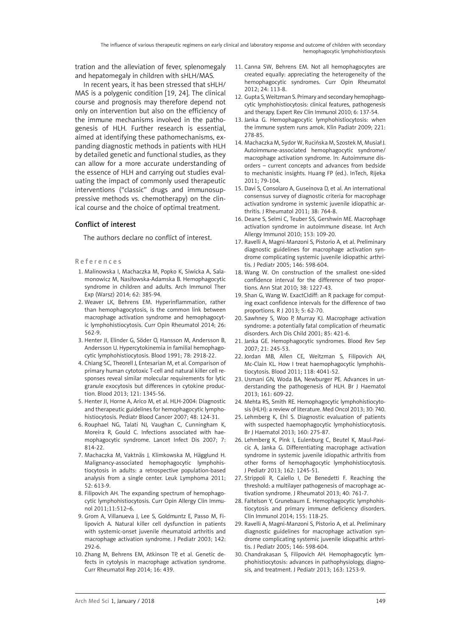tration and the alleviation of fever, splenomegaly and hepatomegaly in children with sHLH/MAS.

In recent years, it has been stressed that sHLH/ MAS is a polygenic condition [19, 24]. The clinical course and prognosis may therefore depend not only on intervention but also on the efficiency of the immune mechanisms involved in the pathogenesis of HLH. Further research is essential, aimed at identifying these pathomechanisms, expanding diagnostic methods in patients with HLH by detailed genetic and functional studies, as they can allow for a more accurate understanding of the essence of HLH and carrying out studies evaluating the impact of commonly used therapeutic interventions ("classic" drugs and immunosuppressive methods vs. chemotherapy) on the clinical course and the choice of optimal treatment.

## Conflict of interest

The authors declare no conflict of interest.

- References
- 1. Malinowska I, Machaczka M, Popko K, Siwicka A, Salamonowicz M, Nasiłowska-Adamska B. Hemophagocytic syndrome in children and adults. Arch Immunol Ther Exp (Warsz) 2014; 62: 385-94.
- 2. Weaver LK, Behrens EM. Hyperinflammation, rather than hemophagocytosis, is the common link between macrophage activation syndrome and hemophagocytic lymphohistiocytosis. Curr Opin Rheumatol 2014; 26: 562-9.
- 3. Henter JI, Elinder G, Söder O, Hansson M, Andersson B, Andersson U. Hypercytokinemia in familial hemophagocytic lymphohistiocytosis. Blood 1991; 78: 2918-22.
- 4. Chiang SC, Theorell J, Entesarian M, et al. Comparison of primary human cytotoxic T-cell and natural killer cell responses reveal similar molecular requirements for lytic granule exocytosis but differences in cytokine production. Blood 2013; 121: 1345-56.
- 5. Henter JI, Horne A, Arico M, et al. HLH-2004: Diagnostic and therapeutic guidelines for hemophagocytic lymphohistiocytosis. Pediatr Blood Cancer 2007; 48: 124-31.
- 6. Rouphael NG, Talati NJ, Vaughan C, Cunningham K, Moreira R, Gould C. Infections associated with haemophagocytic syndrome. Lancet Infect Dis 2007; 7: 814-22.
- 7. Machaczka M, Vaktnäs J, Klimkowska M, Hägglund H. [Malignancy-associated hemophagocytic lymphohis](http://www.ncbi.nlm.nih.gov/pubmed/21299462)[tiocytosis in adults: a retrospective population-based](http://www.ncbi.nlm.nih.gov/pubmed/21299462)  [analysis from a single center.](http://www.ncbi.nlm.nih.gov/pubmed/21299462) Leuk Lymphoma 2011; 52: 613-9.
- 8. Filipovich AH. The expanding spectrum of hemophagocytic lymphohistiocytosis. Curr Opin Allergy Clin Immunol 2011;11:512–6.
- 9. Grom A, Villanueva J, Lee S, Goldmuntz E, Passo M, Filipovich A. Natural killer cell dysfunction in patients with systemic-onset juvenile rheumatoid arthritis and macrophage activation syndrome. J Pediatr 2003; 142: 292-6.
- 10. [Zhang M,](http://www.ncbi.nlm.nih.gov/pubmed/?term=Zhang M%5BAuthor%5D&cauthor=true&cauthor_uid=25086802) [Behrens EM,](http://www.ncbi.nlm.nih.gov/pubmed/?term=Behrens EM%5BAuthor%5D&cauthor=true&cauthor_uid=25086802) [Atkinson TP](http://www.ncbi.nlm.nih.gov/pubmed/?term=Atkinson TP%5BAuthor%5D&cauthor=true&cauthor_uid=25086802), et al. Genetic defects in cytolysis in macrophage activation syndrome. [Curr Rheumatol Rep](http://www.ncbi.nlm.nih.gov/pubmed/?term=Zhang+Curr+Rheumatol+Rep.+2014+Sep%3B16(9)%3A439) 2014; 16: 439.
- 11. Canna SW, Behrens EM. Not all hemophagocytes are created equally: appreciating the heterogeneity of the hemophagocytic syndromes. Curr Opin Rheumatol 2012; 24: 113-8.
- 12. Gupta S, Weitzman S. Primary and secondary hemophagocytic lymphohistiocytosis: clinical features, pathogenesis and therapy. Expert Rev Clin Immunol 2010; 6: 137-54.
- 13. Janka G. Hemophagocytic lymphohistiocytosis: when the immune system runs amok. Klin Padiatr 2009; 221: 278-85.
- 14. Machaczka M, Sydor W, Rucińska M, Szostek M, Musiał J. Autoimmune-associated hemophagocytic syndrome/ macrophage activation syndrome. In: Autoimmune disorders – current concepts and advances from bedside to mechanistic insights. Huang FP (ed.). InTech, Rijeka 2011; 79-104.
- 15. Davi S, Consolaro A, Guseinova D, et al. An international consensus survey of diagnostic criteria for macrophage activation syndrome in systemic juvenile idiopathic arthritis. J Rheumatol 2011; 38: 764-8.
- 16. Deane S, Selmi C, Teuber SS, Gershwin ME. Macrophage activation syndrome in autoimmune disease. Int Arch Allergy Immunol 2010; 153: 109-20.
- 17. Ravelli A, Magni-Manzoni S, Pistorio A, et al. Preliminary diagnostic guidelines for macrophage activation syndrome complicating systemic juvenile idiopathic arthritis. J Pediatr 2005; 146: 598-604.
- 18. Wang W. On construction of the smallest one-sided confidence interval for the difference of two proportions. Ann Stat 2010; 38: 1227-43.
- 19. Shan G, Wang W. ExactCIdiff: an R package for computing exact confidence intervals for the difference of two proportions. R J 2013; 5: 62-70.
- 20. [Sawhney S](http://www.ncbi.nlm.nih.gov/pubmed?term=Sawhney S%5BAuthor%5D&cauthor=true&cauthor_uid=11668110), [Woo P](http://www.ncbi.nlm.nih.gov/pubmed?term=Woo P%5BAuthor%5D&cauthor=true&cauthor_uid=11668110), [Murray KJ.](http://www.ncbi.nlm.nih.gov/pubmed?term=Murray KJ%5BAuthor%5D&cauthor=true&cauthor_uid=11668110) Macrophage activation syndrome: a potentially fatal complication of rheumatic disorders. [Arch Dis Child](http://www.ncbi.nlm.nih.gov/pubmed/11668110##) 2001; 85: 421-6.
- 21. Janka GE. Hemophagocytic syndromes. Blood Rev Sep 2007; 21: 245-53.
- 22. [Jordan MB](http://www.ncbi.nlm.nih.gov/pubmed?term=Jordan MB%5BAuthor%5D&cauthor=true&cauthor_uid=21828139), [Allen CE](http://www.ncbi.nlm.nih.gov/pubmed?term=Allen CE%5BAuthor%5D&cauthor=true&cauthor_uid=21828139), [Weitzman S](http://www.ncbi.nlm.nih.gov/pubmed?term=Weitzman S%5BAuthor%5D&cauthor=true&cauthor_uid=21828139), [Filipovich AH](http://www.ncbi.nlm.nih.gov/pubmed?term=Filipovich AH%5BAuthor%5D&cauthor=true&cauthor_uid=21828139), [Mc-Clain KL.](http://www.ncbi.nlm.nih.gov/pubmed?term=McClain KL%5BAuthor%5D&cauthor=true&cauthor_uid=21828139) How I treat haemophagocytic lymphohistiocytosis. [Blood](http://www.ncbi.nlm.nih.gov/pubmed/21828139##) 2011; 118: 4041-52.
- 23. Usmani GN, Woda BA, Newburger PE. [Advances in un](http://www.ncbi.nlm.nih.gov/pubmed/23577835)[derstanding the pathogenesis of HLH.](http://www.ncbi.nlm.nih.gov/pubmed/23577835) Br J Haematol 2013; 161: 609-22.
- 24. Mehta RS, Smith RE. Hemophagocytic lymphohistiocytosis (HLH): a review of literature. Med Oncol 2013; 30: 740.
- 25. [Lehmberg K](http://www.ncbi.nlm.nih.gov/pubmed?term=Lehmberg K%5BAuthor%5D&cauthor=true&cauthor_uid=23206255), [Ehl S](http://www.ncbi.nlm.nih.gov/pubmed?term=Ehl S%5BAuthor%5D&cauthor=true&cauthor_uid=23206255). Diagnostic evaluation of patients with suspected haemophagocytic lymphohistiocytosis. [Br J Haematol](http://www.ncbi.nlm.nih.gov/pubmed/23206255##) 2013; 160: 275-87.
- 26. [Lehmberg K](http://www.ncbi.nlm.nih.gov/pubmed?term=Lehmberg K%5BAuthor%5D&cauthor=true&cauthor_uid=23333131), [Pink I](http://www.ncbi.nlm.nih.gov/pubmed?term=Pink I%5BAuthor%5D&cauthor=true&cauthor_uid=23333131), [Eulenburg C,](http://www.ncbi.nlm.nih.gov/pubmed?term=Eulenburg C%5BAuthor%5D&cauthor=true&cauthor_uid=23333131) [Beutel K](http://www.ncbi.nlm.nih.gov/pubmed?term=Beutel K%5BAuthor%5D&cauthor=true&cauthor_uid=23333131), [Maul-Pavi](http://www.ncbi.nlm.nih.gov/pubmed?term=Maul-Pavicic A%5BAuthor%5D&cauthor=true&cauthor_uid=23333131)[cic A,](http://www.ncbi.nlm.nih.gov/pubmed?term=Maul-Pavicic A%5BAuthor%5D&cauthor=true&cauthor_uid=23333131) [Janka G](http://www.ncbi.nlm.nih.gov/pubmed?term=Janka G%5BAuthor%5D&cauthor=true&cauthor_uid=23333131). Differentiating macrophage activation syndrome in systemic juvenile idiopathic arthritis from other forms of hemophagocytic lymphohistiocytosis. J Pediatr 2013; 162: 1245-51.
- 27. [Strippoli R](http://www.ncbi.nlm.nih.gov/pubmed?term=Strippoli R%5BAuthor%5D&cauthor=true&cauthor_uid=23588947), [Caiello I,](http://www.ncbi.nlm.nih.gov/pubmed?term=Caiello I%5BAuthor%5D&cauthor=true&cauthor_uid=23588947) [De Benedetti F](http://www.ncbi.nlm.nih.gov/pubmed?term=De Benedetti F%5BAuthor%5D&cauthor=true&cauthor_uid=23588947). Reaching the threshold: a multilayer pathogenesis of macrophage activation syndrome. [J Rheumatol](http://www.ncbi.nlm.nih.gov/pubmed/23588947) 2013; 40: 761-7.
- 28. [Faitelson Y](http://www.ncbi.nlm.nih.gov/pubmed/?term=Faitelson Y%5BAuthor%5D&cauthor=true&cauthor_uid=25241079), [Grunebaum E](http://www.ncbi.nlm.nih.gov/pubmed/?term=Grunebaum E%5BAuthor%5D&cauthor=true&cauthor_uid=25241079). Hemophagocytic lymphohistiocytosis and primary immune deficiency disorders. [Clin Immunol](http://www.ncbi.nlm.nih.gov/pubmed/25241079) 2014; 155: 118-25.
- 29. [Ravelli A,](http://www.ncbi.nlm.nih.gov/pubmed?term=Ravelli A%5BAuthor%5D&cauthor=true&cauthor_uid=15870661) [Magni-Manzoni S](http://www.ncbi.nlm.nih.gov/pubmed?term=Magni-Manzoni S%5BAuthor%5D&cauthor=true&cauthor_uid=15870661), [Pistorio A](http://www.ncbi.nlm.nih.gov/pubmed?term=Pistorio A%5BAuthor%5D&cauthor=true&cauthor_uid=15870661), et al. Preliminary diagnostic guidelines for macrophage activation syndrome complicating systemic juvenile idiopathic arthritis. [J Pediatr](http://www.ncbi.nlm.nih.gov/pubmed/15870661##) 2005; 146: 598-604.
- 30. [Chandrakasan S,](http://www.ncbi.nlm.nih.gov/pubmed?term=Chandrakasan S%5BAuthor%5D&cauthor=true&cauthor_uid=23953723) [Filipovich AH.](http://www.ncbi.nlm.nih.gov/pubmed?term=Filipovich AH%5BAuthor%5D&cauthor=true&cauthor_uid=23953723) Hemophagocytic lymphohistiocytosis: advances in pathophysiology, diagnosis, and treatment. [J Pediatr](http://www.ncbi.nlm.nih.gov/pubmed/23953723##) 2013; 163: 1253-9.